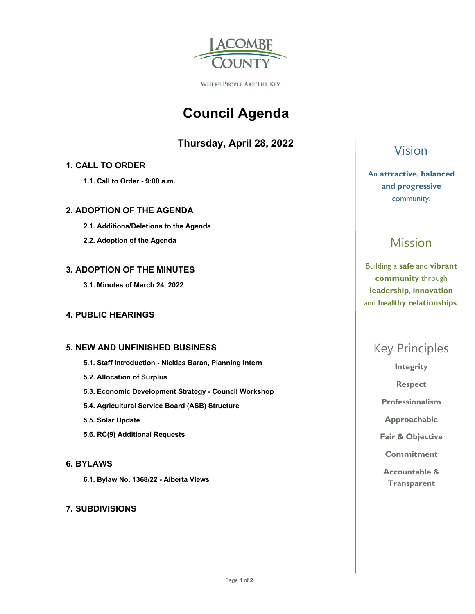

WHERE PEOPLE ARE THE KEY

# **Council Agenda**

### **Thursday, April 28, 2022**

### **1. CALL TO ORDER**

 **1.1. Call to Order - 9:00 a.m.** 

### **2. ADOPTION OF THE AGENDA**

- **2.1. Additions/Deletions to the Agenda**
- **2.2. Adoption of the Agenda**

### **3. ADOPTION OF THE MINUTES**

 **3.1. Minutes of March 24, 2022** 

### **4. PUBLIC HEARINGS**

### **5. NEW AND UNFINISHED BUSINESS**

- **5.1. Staff Introduction Nicklas Baran, Planning Intern**
- **5.2. Allocation of Surplus**
- **5.3. Economic Development Strategy Council Workshop**
- **5.4. Agricultural Service Board (ASB) Structure**
- **5.5. Solar Update**
- **5.6. RC(9) Additional Requests**

### **6. BYLAWS**

 **6.1. Bylaw No. 1368/22 - Alberta Views** 

### **7. SUBDIVISIONS**

Vision

An **attractive**, **balanced and progressive**  community.

# Mission

Building a **safe** and **vibrant community** through **leadership**, **innovation**  and **healthy relationships**.

# Key Principles

**Integrity** 

**Respect** 

**Professionalism** 

**Approachable** 

**Fair & Objective** 

**Commitment** 

**Accountable & Transparent**